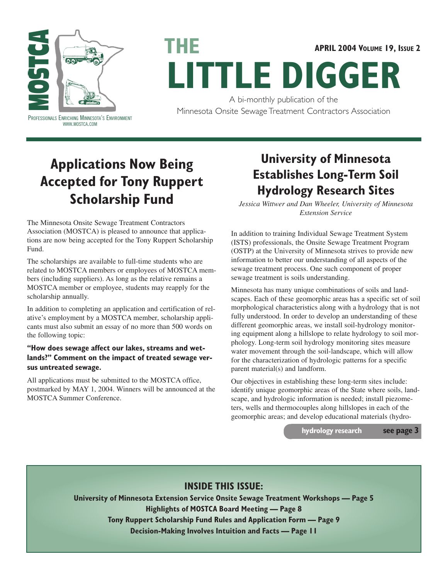

#### **APRIL 2004 VOLUME 19, ISSUE 2**

# **LITTLE DIGGER**

A bi-monthly publication of the Minnesota Onsite Sewage Treatment Contractors Association<br>PROFESSIONALS ENRICHING MINNESOTA'S ENVIRONMENT

## **Applications Now Being Accepted for Tony Ruppert Scholarship Fund**

**THE**

The Minnesota Onsite Sewage Treatment Contractors Association (MOSTCA) is pleased to announce that applications are now being accepted for the Tony Ruppert Scholarship Fund.

The scholarships are available to full-time students who are related to MOSTCA members or employees of MOSTCA members (including suppliers). As long as the relative remains a MOSTCA member or employee, students may reapply for the scholarship annually.

In addition to completing an application and certification of relative's employment by a MOSTCA member, scholarship applicants must also submit an essay of no more than 500 words on the following topic:

#### **"How does sewage affect our lakes, streams and wetlands?" Comment on the impact of treated sewage versus untreated sewage.**

All applications must be submitted to the MOSTCA office, postmarked by MAY 1, 2004. Winners will be announced at the MOSTCA Summer Conference.

### **University of Minnesota Establishes Long-Term Soil Hydrology Research Sites**

*Jessica Wittwer and Dan Wheeler, University of Minnesota Extension Service*

In addition to training Individual Sewage Treatment System (ISTS) professionals, the Onsite Sewage Treatment Program (OSTP) at the University of Minnesota strives to provide new information to better our understanding of all aspects of the sewage treatment process. One such component of proper sewage treatment is soils understanding.

Minnesota has many unique combinations of soils and landscapes. Each of these geomorphic areas has a specific set of soil morphological characteristics along with a hydrology that is not fully understood. In order to develop an understanding of these different geomorphic areas, we install soil-hydrology monitoring equipment along a hillslope to relate hydrology to soil morphology. Long-term soil hydrology monitoring sites measure water movement through the soil-landscape, which will allow for the characterization of hydrologic patterns for a specific parent material(s) and landform.

Our objectives in establishing these long-term sites include: identify unique geomorphic areas of the State where soils, landscape, and hydrologic information is needed; install piezometers, wells and thermocouples along hillslopes in each of the geomorphic areas; and develop educational materials (hydro-

**hydrology research see page 3**

#### **INSIDE THIS ISSUE:**

**University of Minnesota Extension Service Onsite Sewage Treatment Workshops — Page 5 Highlights of MOSTCA Board Meeting — Page 8 Tony Ruppert Scholarship Fund Rules and Application Form — Page 9 Decision-Making Involves Intuition and Facts — Page 11**